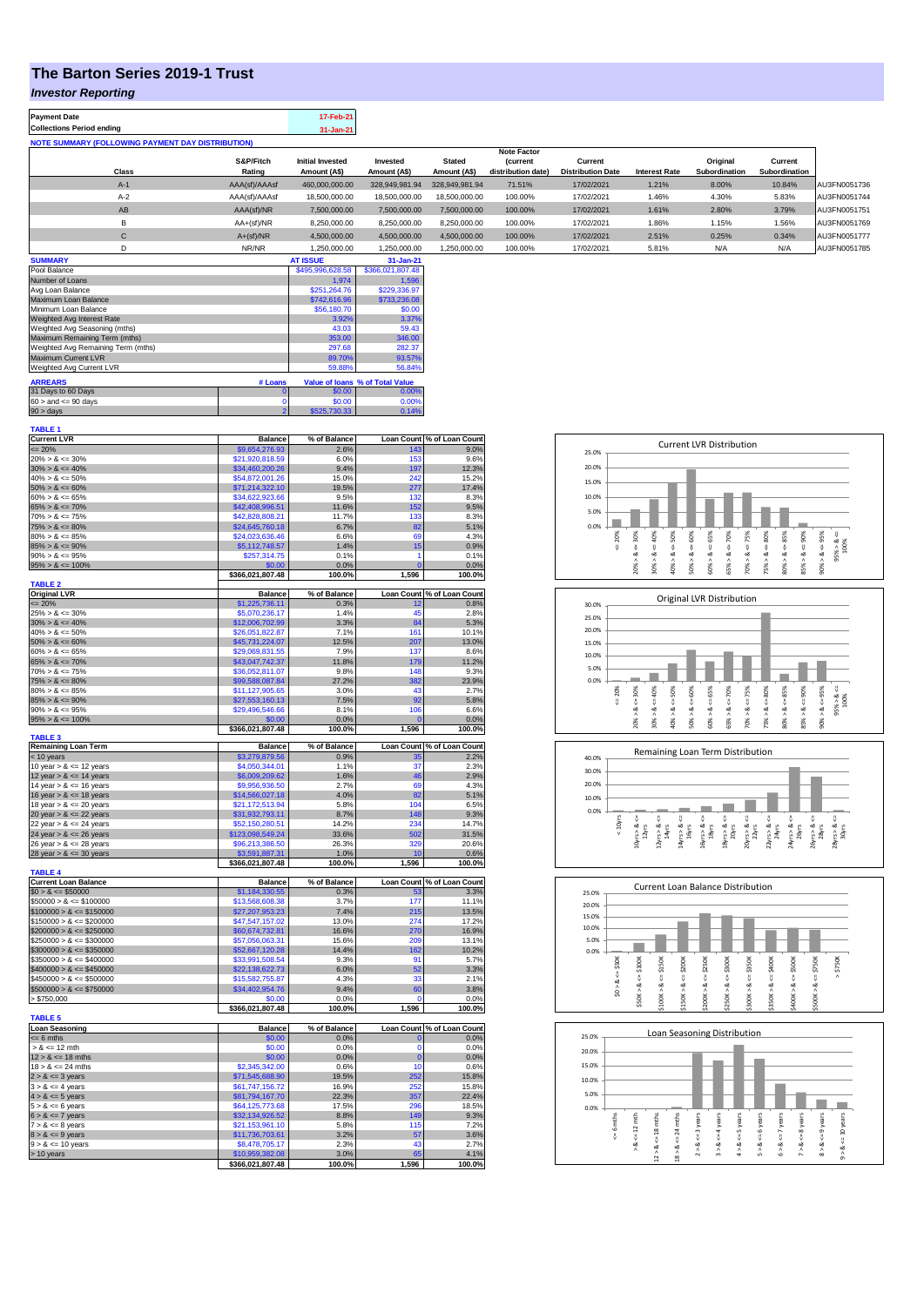## **The Barton Series 2019-1 Trust**

## *Investor Reporting*

| <b>Payment Date</b><br><b>Collections Period ending</b>  |                     | 17-Feb-21                               |                          |                               |                                |                                     |                      |                           |                          |              |
|----------------------------------------------------------|---------------------|-----------------------------------------|--------------------------|-------------------------------|--------------------------------|-------------------------------------|----------------------|---------------------------|--------------------------|--------------|
| <b>NOTE SUMMARY (FOLLOWING PAYMENT DAY DISTRIBUTION)</b> |                     | 31-Jan-21                               |                          |                               |                                |                                     |                      |                           |                          |              |
|                                                          |                     |                                         |                          |                               | <b>Note Factor</b>             |                                     |                      |                           |                          |              |
| Class                                                    | S&P/Fitch<br>Rating | <b>Initial Invested</b><br>Amount (A\$) | Invested<br>Amount (A\$) | <b>Stated</b><br>Amount (A\$) | (current<br>distribution date) | Current<br><b>Distribution Date</b> | <b>Interest Rate</b> | Original<br>Subordination | Current<br>Subordination |              |
| $A-1$                                                    | AAA(sf)/AAAsf       | 460,000,000.00                          | 328,949,981.94           | 328.949.981.94                | 71.51%                         | 17/02/2021                          | 1.21%                | 8.00%                     | 10.84%                   | AU3FN0051736 |
| $A-2$                                                    | AAA(sf)/AAAsf       | 18,500,000.00                           | 18,500,000.00            | 18,500,000,00                 | 100.00%                        | 17/02/2021                          | 1.46%                | 4.30%                     | 5.83%                    | AU3FN0051744 |
| AB                                                       | AAA(sf)/NR          | 7.500.000.00                            | 7.500.000.00             | 7.500.000.00                  | 100.00%                        | 17/02/2021                          | 1.61%                | 2.80%                     | 3.79%                    | AU3FN0051751 |
| B                                                        | $AA+(sf)/NR$        | 8.250.000.00                            | 8,250,000.00             | 8,250,000.00                  | 100.00%                        | 17/02/2021                          | 1.86%                | 1.15%                     | 1.56%                    | AU3FN0051769 |
| C                                                        | $A+(sf)/NR$         | 4.500.000.00                            | 4,500,000.00             | 4.500.000.00                  | 100.00%                        | 17/02/2021                          | 2.51%                | 0.25%                     | 0.34%                    | AU3FN0051777 |
| D                                                        | NR/NR               | 1.250.000.00                            | 1.250.000.00             | 1.250.000.00                  | 100.00%                        | 17/02/2021                          | 5.81%                | N/A                       | N/A                      | AU3FN0051785 |
| <b>SUMMARY</b>                                           |                     | <b>AT ISSUE</b>                         | 31-Jan-21                |                               |                                |                                     |                      |                           |                          |              |

| <u>UUMMAN I</u>                    |                                | <b>AINVUL</b>    | <u>JI JULITA I</u>              |
|------------------------------------|--------------------------------|------------------|---------------------------------|
| Pool Balance                       | \$495,996,628.58               | \$366,021,807.48 |                                 |
| Number of Loans                    |                                | 1.974            | 1.596                           |
| Avg Loan Balance                   |                                | \$251.264.76     | \$229,336.97                    |
| Maximum Loan Balance               |                                | \$742,616.96     | \$733,236.08                    |
| Minimum Loan Balance               | \$56,180.70                    | \$0.00           |                                 |
| Weighted Avg Interest Rate         | 3.92%                          | 3.37%            |                                 |
| Weighted Avg Seasoning (mths)      | 43.03                          | 59.43            |                                 |
| Maximum Remaining Term (mths)      | 353.00                         | 346.00           |                                 |
| Weighted Avg Remaining Term (mths) | 297.68                         | 282.37           |                                 |
| Maximum Current LVR                | 89.70%                         | 93.57%           |                                 |
| Weighted Avg Current LVR           |                                | 59.88%           | 56.84%                          |
| <b>ARREARS</b>                     | # Loans                        |                  | Value of Ioans % of Total Value |
| 31 Days to 60 Days                 | o                              | \$0.00           | 0.00%                           |
| $60 >$ and $\leq 90$ days          | 0                              | \$0.00           | 0.00%                           |
| $90 >$ days                        | $\overline{2}$<br>\$525,730,33 | 0.14%            |                                 |

| <b>TABLE 1</b>                                                                      |                                    |                |                   |                            |
|-------------------------------------------------------------------------------------|------------------------------------|----------------|-------------------|----------------------------|
| <b>Current LVR</b>                                                                  | <b>Balance</b>                     | % of Balance   |                   | Loan Count % of Loan Count |
| $\epsilon = 20\%$                                                                   | \$9,654,276.93                     | 2.6%           | 143               | 9.0%                       |
| $20\% > 8 \le 30\%$                                                                 | \$21,920,818.59                    | 6.0%           | 153               | 9.6%                       |
| $30\% > 8 \le 40\%$                                                                 | \$34,460,200.26                    | 9.4%           | 197               | 12.3%                      |
| $40\% > 8 \le 50\%$                                                                 | \$54,872,001.26                    | 15.0%          | 242               | 15.2%                      |
| $50\% > 8 \le 60\%$                                                                 | \$71,214,322.10                    | 19.5%          | 277               | 17.4%                      |
| $60\% > 8 \le 65\%$                                                                 | \$34,622,923.66                    | 9.5%           | 132               | 8.3%                       |
| $65\% > 8 \le 70\%$                                                                 | \$42,408,996.51                    | 11.6%          | 152               | 9.5%                       |
| $70\% > 8 \le 75\%$                                                                 | \$42,828,808.21                    | 11.7%          | 133               | 8.3%                       |
| $75\% > 8 \le 80\%$                                                                 | \$24,645,760.18                    | 6.7%           | 82                | 5.1%                       |
| $80\% > 8 \le 85\%$                                                                 | \$24,023,636.46                    | 6.6%           | 69                | 4.3%                       |
| $85\% > 8 \le 90\%$                                                                 | \$5,112,748.57                     | 1.4%           | 15                | 0.9%                       |
| $90\% > 8 \le 95\%$                                                                 | \$257,314.75                       | 0.1%           | 1                 | 0.1%                       |
| $95\% > 8 \le 100\%$                                                                | \$0.00                             | 0.0%           | $\mathbf{0}$      | 0.0%                       |
|                                                                                     | \$366,021,807.48                   | 100.0%         | 1,596             | 100.0%                     |
| <b>TABLE 2</b>                                                                      |                                    |                |                   |                            |
| Original LVR<br><= 20%<br>25% > & <= 30%                                            | <b>Balance</b>                     | % of Balance   | <b>Loan Count</b> | % of Loan Count            |
|                                                                                     | \$1,225,736.11                     | 0.3%           | 12                | 0.8%                       |
|                                                                                     | \$5,070,236.17                     | 1.4%           | 45                | 2.8%                       |
| $30\% > 8 \le 40\%$                                                                 | \$12,006,702.99                    | 3.3%           | 84                | 5.3%                       |
| $40\% > 8 \le 50\%$                                                                 | \$26,051,822.87                    | 7.1%           | 161               | 10.1%                      |
| $50\% > 8 \le 60\%$                                                                 | \$45,731,224.07                    | 12.5%          | 207               | 13.0%                      |
| $60\% > 8 \le 65\%$                                                                 | \$29,069,831.55                    | 7.9%           | 137               | 8.6%                       |
| $65\% > 8 \le 70\%$                                                                 | \$43,047,742.37                    | 11.8%          | 179               | 11.2%                      |
| $70\% > 8 \le 75\%$                                                                 | \$36,052,811.07                    | 9.8%           | 148               | 9.3%                       |
| $75\% > 8 \le 80\%$                                                                 | \$99,588,087.84                    | 27.2%          | 382               | 23.9%                      |
| $80\% > 8 \le 85\%$                                                                 | \$11,127,905.65                    | 3.0%           | 43                | 2.7%                       |
| $85\% > 8 \le 90\%$                                                                 | \$27,553,160.13                    | 7.5%           | 92                | 5.8%                       |
| $90\% > 8 \le 95\%$                                                                 | \$29,496,546.66                    | 8.1%           | 106               | 6.6%                       |
| $95\% > 8 \le 100\%$                                                                | \$0.00                             | 0.0%           |                   | 0.0%                       |
|                                                                                     | \$366,021,807.48                   | 100.0%         | 1,596             | 100.0%                     |
| <b>TABLE 3</b>                                                                      | <b>Balance</b>                     | % of Balance   | <b>Loan Count</b> | % of Loan Count            |
| Remaining Loan Term<br>$\leq$ 10 years<br>10 year > & $\lt$ = 12 years              | \$3,279,879.56                     | 0.9%           | ЗF                | 2.2%                       |
|                                                                                     | \$4,050,344.01                     | 1.1%           | 37                | 2.3%                       |
|                                                                                     | \$6,009,209.62                     | 1.6%           | 46                | 2.9%                       |
| 12 year $> 8 \le 14$ years<br>14 year $> 8 \le 16$ years                            | \$9,956,936.50                     | 2.7%           | 69                | 4.3%                       |
| 16 year $> 8 \le 18$ years                                                          | \$14,566,027.18                    | 4.0%           | 82                | 5.1%                       |
| 18 year $> 8 < 20$ years                                                            | \$21,172,513.94                    | 5.8%           | 104               | 6.5%                       |
| 20 year $> 8 < 22$ years                                                            | \$31,932,793.11                    | 8.7%           | 148               | 9.3%                       |
|                                                                                     | \$52,150,280.51                    | 14.2%          | 234               | 14.7%                      |
| 22 year $> 8 \le 24$ years                                                          |                                    |                | 502               |                            |
| 24 year $> 8 \le 26$ years                                                          | \$123,098,549.24                   | 33.6%          |                   | 31.5%                      |
| 26 year $> 8 \le 28$ years                                                          | \$96,213,386.50                    | 26.3%          | 329               | 20.6%                      |
| 28 year $> 8 \le 30$ years                                                          | \$3,591,887.31<br>\$366,021,807.48 | 1.0%<br>100.0% | 10<br>1,596       | 0.6%<br>100.0%             |
| <b>TABLE 4</b>                                                                      |                                    |                |                   |                            |
|                                                                                     | <b>Balance</b>                     | % of Balance   |                   | Loan Count % of Loan Count |
| Current Loan Balance<br>$$0 > 8 \leq $50000$                                        | \$1,184,330.55                     | 0.3%           | 53                | 3.3%                       |
| $$50000 > 8 \le $100000$                                                            | \$13,568,608.38                    | 3.7%           | 177               | 11.1%                      |
|                                                                                     | \$27,207,953.23                    | 7.4%           | 215               | 13.5%                      |
| $$100000 > 8 \le $150000$<br>$$150000 > 8 \le $200000$                              | \$47,547,157.02                    | 13.0%          | 274               | 17.2%                      |
|                                                                                     | \$60,674,732.81                    | 16.6%          | 270               | 16.9%                      |
| $$200000 > 8 \le $250000$<br>$$250000 > 8 \le $300000$<br>$$300000 > 8 \le $350000$ | \$57,056,063.31                    | 15.6%          | 209               | 13.1%                      |
|                                                                                     | \$52,667,120.28                    | 14.4%          | 162               | 10.2%                      |
|                                                                                     |                                    | 9.3%           | 91                | 5.7%                       |
| $$350000 > 8 \le $400000$<br>$$400000 > 8 \le $450000$<br>$$450000 > 8 \le $500000$ | \$33,991,508.54                    |                | 52                |                            |
|                                                                                     | \$22,138,622.73                    | 6.0%           | 33                | 3.3%                       |
| $$500000 > 8 \le $750000$                                                           | \$15,582,755.87                    | 4.3%           |                   | 2.1%                       |
|                                                                                     | \$34,402,954.76<br>\$0.00          | 9.4%           | 60                | 3.8%                       |
| > \$750,000                                                                         | \$366,021,807.48                   | 0.0%<br>100.0% | 1,596             | 0.0%<br>100.0%             |
| <b>TABLE 5</b>                                                                      |                                    |                |                   |                            |
|                                                                                     |                                    |                |                   |                            |
| Loan Seasoning<br><= 6 mths                                                         | <b>Balance</b>                     | % of Balance   | O                 | Loan Count % of Loan Count |
| $> 8 \le 12$ mth                                                                    | \$0.00<br>\$0.00                   | 0.0%<br>0.0%   | 0                 | 0.0%<br>0.0%               |
| $12 > 8 \le 18$ mths                                                                |                                    |                |                   |                            |
| $18 > 8 \le 24$ mths                                                                | \$0.00                             | 0.0%           | $\overline{0}$    | 0.0%                       |
|                                                                                     | \$2,345,342.00                     | 0.6%           | 10                | 0.6%                       |
| $2 > 8 \le 3$ years                                                                 | \$71,545,688.90                    | 19.5%          | 252               | 15.8%                      |
| $3 > 8 \leq 4$ years                                                                | \$61,747,156.72                    | 16.9%          | 252               | 15.8%                      |
| $4 > 8 \le 5$ years                                                                 | \$81,794,167.70                    | 22.3%          | 357               | 22.4%                      |
| $5 > 8 \le 6$ years<br>$6 > 8 \le 7$ years                                          | \$64,125,773.68                    | 17.5%          | 296               | 18.5%                      |
|                                                                                     | \$32,134,926.52                    | 8.8%           | 149               | 9.3%                       |
| $7 > 8 \le 8$ years                                                                 | \$21,153,961.10                    | 5.8%           | 115               | 7.2%                       |
| $8 > 8 \le 9$ years<br>$9 > 8 \le 10$ years                                         | \$11,736,703.61                    | 3.2%           | 57                | 3.6%                       |
|                                                                                     | \$8,478,705.17                     | 2.3%           | 43                | 2.7%                       |
| $> 10$ years                                                                        | \$10,959,382.08                    | 3.0%           | 65                | 4.1%                       |
|                                                                                     | \$366.021.807.48                   | 100.0%         | 1.596             | 100.0%                     |

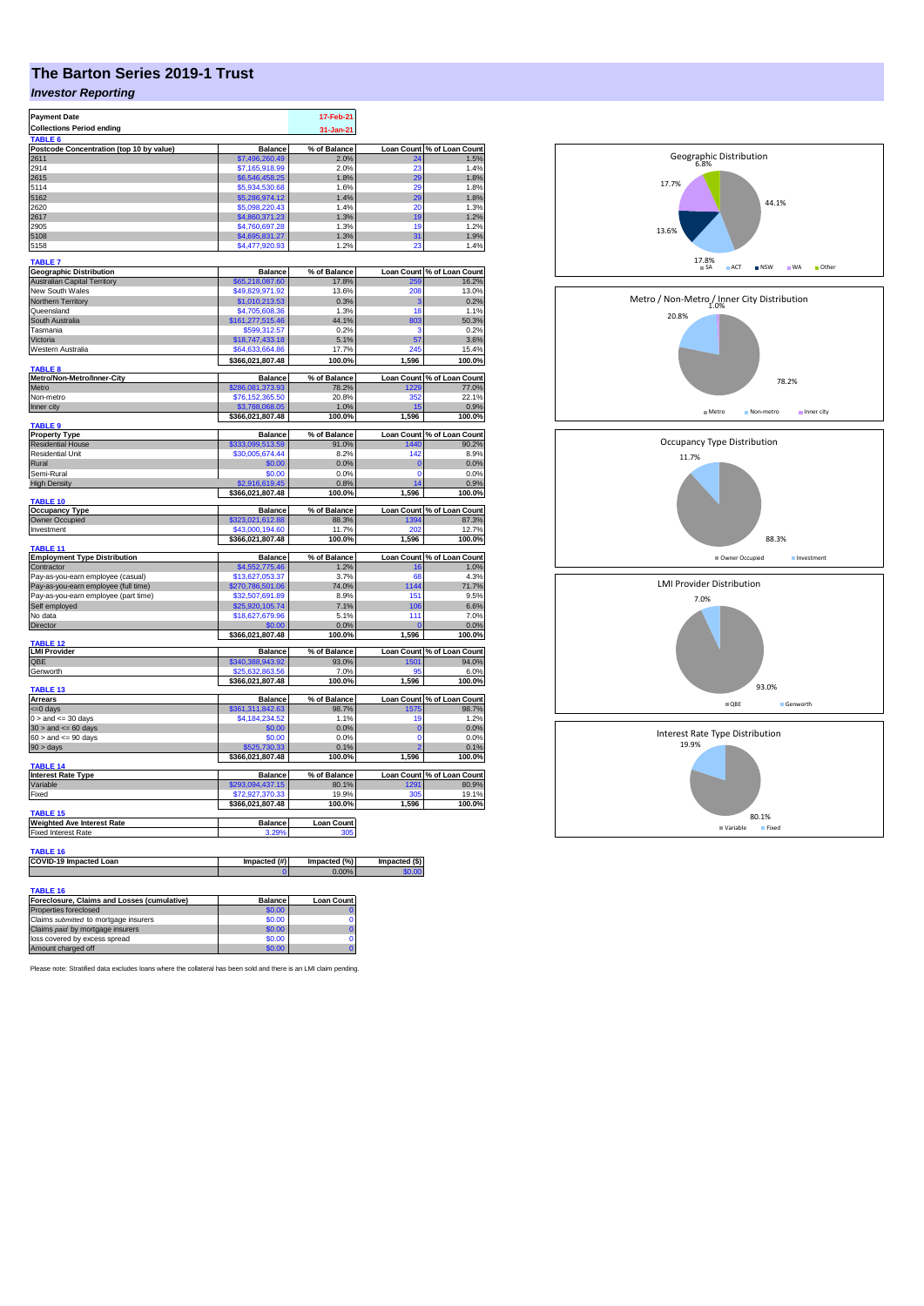## **The Barton Series 2019-1 Trust**

## *Investor Reporting*

| <b>Payment Date</b>                                     |                                     | 17-Feb-21             |                         |                            |
|---------------------------------------------------------|-------------------------------------|-----------------------|-------------------------|----------------------------|
| <b>Collections Period ending</b>                        |                                     | 31-Jan-21             |                         |                            |
| TABLE <sub>6</sub>                                      |                                     |                       |                         | % of Loan Count            |
| Postcode Concentration (top 10 by value)<br>2611        | <b>Balance</b><br>\$7,496,260.49    | % of Balance<br>2.0%  | <b>Loan Count</b><br>24 | 1.5%                       |
| 2914                                                    | \$7,165,918.99                      | 2.0%                  | 23                      | 1.4%                       |
| 2615                                                    | \$6,546,458.25                      | 1.8%                  | 29                      | 1.8%                       |
| 5114                                                    | \$5,934,530.68                      | 1.6%                  | 29                      | 1.8%                       |
| 5162                                                    | \$5,286,974.12                      | 1.4%                  | 29                      | 1.8%                       |
| 2620                                                    | \$5,098,220.43                      | 1.4%                  | 20                      | 1.3%                       |
| 2617<br>2905                                            | \$4,860,371.23                      | 1.3%<br>1.3%          | 19<br>19                | 1.2%<br>1.2%               |
| 5108                                                    | \$4,760,697.28<br>\$4,695,831.27    | 1.3%                  | 31                      | 1.9%                       |
| 5158                                                    | \$4,477,920.93                      | 1.2%                  | 23                      | 1.4%                       |
| <b>TABLE 7</b>                                          |                                     |                       |                         |                            |
| <b>Geographic Distribution</b>                          | <b>Balance</b>                      | % of Balance          | <b>Loan Count</b>       | % of Loan Count            |
| <b>Australian Capital Territory</b>                     | \$65,218,087.60                     | 17.8%                 | 259                     | 16.2%                      |
| New South Wales<br>Northern Territory                   | \$49,829,971.92<br>\$1,010,213.53   | 13.6%<br>0.3%         | 208<br>з                | 13.0%<br>0.2%              |
| Queensland                                              | \$4,705,608.36                      | 1.3%                  | 18                      | 1.1%                       |
| South Australia                                         | \$161,277,515.46                    | 44.1%                 | 803                     | 50.3%                      |
| Tasmania                                                | \$599,312.57                        | 0.2%                  | 3                       | 0.2%                       |
| Victoria                                                | \$18,747,433.18                     | 5.1%                  | 57                      | 3.6%                       |
| Western Australia                                       | \$64,633,664.86                     | 17.7%                 | 245                     | 15.4%                      |
| <b>TABLE 8</b>                                          | \$366,021,807.48                    | 100.0%                | 1,596                   | 100.0%                     |
| Metro/Non-Metro/Inner-City                              | <b>Balance</b>                      | % of Balance          |                         | Loan Count % of Loan Count |
| Metro                                                   | \$286,081,373.93                    | 78.2%                 | 229                     | 77.0%                      |
| Non-metro                                               | \$76,152,365.50                     | 20.8%                 | 352                     | 22.1%                      |
| Inner city                                              | \$3,788,068.05<br>\$366,021,807.48  | 1.0%<br>100.0%        | 15<br>1,596             | 0.9%<br>100.0%             |
| <b>TABLE 9</b>                                          |                                     |                       |                         |                            |
| <b>Property Type</b>                                    | <b>Balance</b>                      | % of Balance          | <b>Loan Count</b>       | % of Loan Count            |
| <b>Residential House</b><br>Residential Unit            | \$333,099,513.59<br>\$30,005,674.44 | 91.0%<br>8.2%         | 1440<br>142             | 90.2%<br>8.9%              |
| Rural                                                   | \$0.00                              | 0.0%                  | $\bf{0}$                | 0.0%                       |
| Semi-Rural                                              | \$0.00                              | 0.0%                  | 0                       | 0.0%                       |
| <b>High Density</b>                                     | \$2,916,619.45                      | 0.8%                  | 14                      | 0.9%                       |
|                                                         | \$366,021,807.48                    | 100.0%                | 1,596                   | 100.0%                     |
| <b>TABLE 10</b><br><b>Occupancy Type</b>                | <b>Balance</b>                      | % of Balance          |                         | Loan Count % of Loan Count |
| Owner Occupied                                          | \$323,021,612.88                    | 88.3%                 | 1394                    | 87.3%                      |
| Investment                                              | \$43,000,194.60                     | 11.7%                 | 202                     | 12.7%                      |
| <b>TABLE 11</b>                                         | \$366,021,807.48                    | 100.0%                | 1,596                   | 100.0%                     |
| <b>Employment Type Distribution</b>                     | <b>Balance</b>                      | % of Balance          |                         | Loan Count % of Loan Count |
| Contractor                                              | \$4,552,775.46                      | 1.2%                  | 16                      | 1.0%                       |
| Pay-as-you-earn employee (casual)                       | \$13,627,053.37                     | 3.7%                  | 68                      | 4.3%                       |
| Pay-as-you-earn employee (full time)                    | \$270,786,501.06                    | 74.0%                 | 1144                    | 71.7%                      |
| Pay-as-you-earn employee (part time)                    | \$32,507,691.89                     | 8.9%                  | 151                     | 9.5%                       |
| Self employed<br>No data                                | \$25,920,105.74                     | 7.1%<br>5.1%          | 106<br>111              | 6.6%<br>7.0%               |
| Director                                                | \$18,627,679.96<br>\$0.00           | 0.0%                  | C                       | 0.0%                       |
|                                                         | \$366,021,807.48                    | 100.0%                | 1,596                   | 100.0%                     |
| <b>TABLE 12</b><br><b>LMI Provider</b>                  | <b>Balance</b>                      | % of Balance          | <b>Loan Count</b>       | % of Loan Count            |
| QBE                                                     | \$340,388,943.92                    | 93.0%                 | 1501                    | 94.0%                      |
| Genworth                                                | \$25,632,863.56                     | 7.0%                  | 95                      | 6.0%                       |
|                                                         | \$366,021,807.48                    | 100.0%                | 1,596                   | 100.0%                     |
| TABLE <sub>13</sub>                                     |                                     |                       |                         |                            |
| Arrears                                                 | <b>Balance</b>                      | % of Balance          | <b>Loan Count</b>       | % of Loan Count            |
| <= 0 days<br>$0 >$ and $\leq$ 30 days                   | \$361,311,842.63<br>\$4,184,234.52  | 98.7%<br>1.1%         | 1575<br>19              | 98.7%<br>1.2%              |
| $30 >$ and $\leq 60$ days                               | \$0.00                              | 0.0%                  | $\mathbf 0$             | 0.0%                       |
| $60 >$ and $\lt = 90$ days                              | \$0.00                              | 0.0%                  | $\Omega$                | 0.0%                       |
| 90 > days                                               | \$525,730.33                        | 0.1%                  | ۶                       | 0.1%                       |
| <b>TABLE 14</b>                                         | \$366,021,807.48                    | 100.0%                | 1,596                   | 100.0%                     |
| <b>Interest Rate Type</b>                               | <b>Balance</b>                      | % of Balance          | <b>Loan Count</b>       | % of Loan Count            |
| Variable                                                | \$293,094,437.15                    | 80.1%                 | 1291                    | 80.9%                      |
| Fixed                                                   | \$72,927,370.33                     | 19.9%                 | 305                     | 19.1%                      |
|                                                         | \$366,021,807.48                    | 100.0%                | 1,596                   | 100.0%                     |
| <b>TABLE 15</b><br><b>Weighted Ave Interest Rate</b>    | <b>Balance</b>                      | <b>Loan Count</b>     |                         |                            |
| <b>Fixed Interest Rate</b>                              | 3.29%                               | 30f                   |                         |                            |
|                                                         |                                     |                       |                         |                            |
| TABLE 16                                                |                                     |                       |                         |                            |
| COVID-19 Impacted Loan                                  | Impacted (#)                        | Impacted (%)<br>0.009 | Impacted (\$)           |                            |
|                                                         |                                     |                       |                         |                            |
| TABLE 16<br>Foreclosure, Claims and Losses (cumulative) | <b>Balance</b>                      | <b>Loan Count</b>     |                         |                            |
| Properties foreclosed                                   | \$0.00                              |                       |                         |                            |
| Claims submitted to mortgage insurers                   | \$0.00                              | $\Omega$              |                         |                            |
| Claims paid by mortgage insurers                        | \$0.00                              | $\mathbf 0$           |                         |                            |
| loss covered by excess spread                           | \$0.00                              | 0                     |                         |                            |
| Amount charged off                                      | \$0.00                              | $\overline{0}$        |                         |                            |



Please note: Stratified data excludes loans where the collateral has been sold and there is an LMI claim pending.